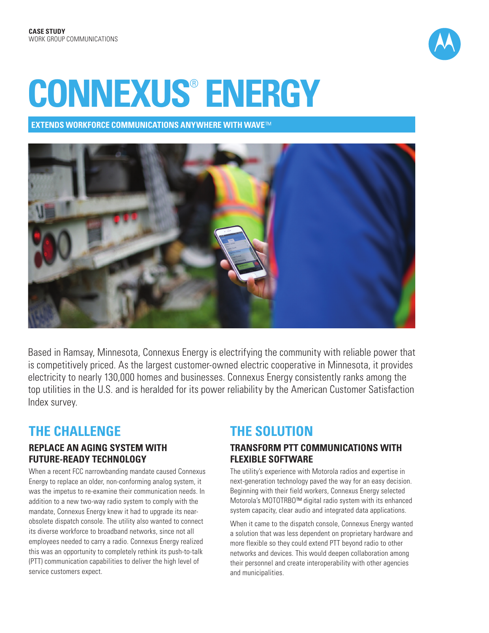

# **CONNEXUS**®  **ENERGY**

**EXTENDS WORKFORCE COMMUNICATIONS ANYWHERE WITH WAVE**™



Based in Ramsay, Minnesota, Connexus Energy is electrifying the community with reliable power that is competitively priced. As the largest customer-owned electric cooperative in Minnesota, it provides electricity to nearly 130,000 homes and businesses. Connexus Energy consistently ranks among the top utilities in the U.S. and is heralded for its power reliability by the American Customer Satisfaction Index survey.

# **THE CHALLENGE**

## **REPLACE AN AGING SYSTEM WITH FUTURE-READY TECHNOLOGY**

When a recent FCC narrowbanding mandate caused Connexus Energy to replace an older, non-conforming analog system, it was the impetus to re-examine their communication needs. In addition to a new two-way radio system to comply with the mandate, Connexus Energy knew it had to upgrade its nearobsolete dispatch console. The utility also wanted to connect its diverse workforce to broadband networks, since not all employees needed to carry a radio. Connexus Energy realized this was an opportunity to completely rethink its push-to-talk (PTT) communication capabilities to deliver the high level of service customers expect.

# **THE SOLUTION**

## **TRANSFORM PTT COMMUNICATIONS WITH FLEXIBLE SOFTWARE**

The utility's experience with Motorola radios and expertise in next-generation technology paved the way for an easy decision. Beginning with their field workers, Connexus Energy selected Motorola's MOTOTRBO™ digital radio system with its enhanced system capacity, clear audio and integrated data applications.

When it came to the dispatch console, Connexus Energy wanted a solution that was less dependent on proprietary hardware and more flexible so they could extend PTT beyond radio to other networks and devices. This would deepen collaboration among their personnel and create interoperability with other agencies and municipalities.